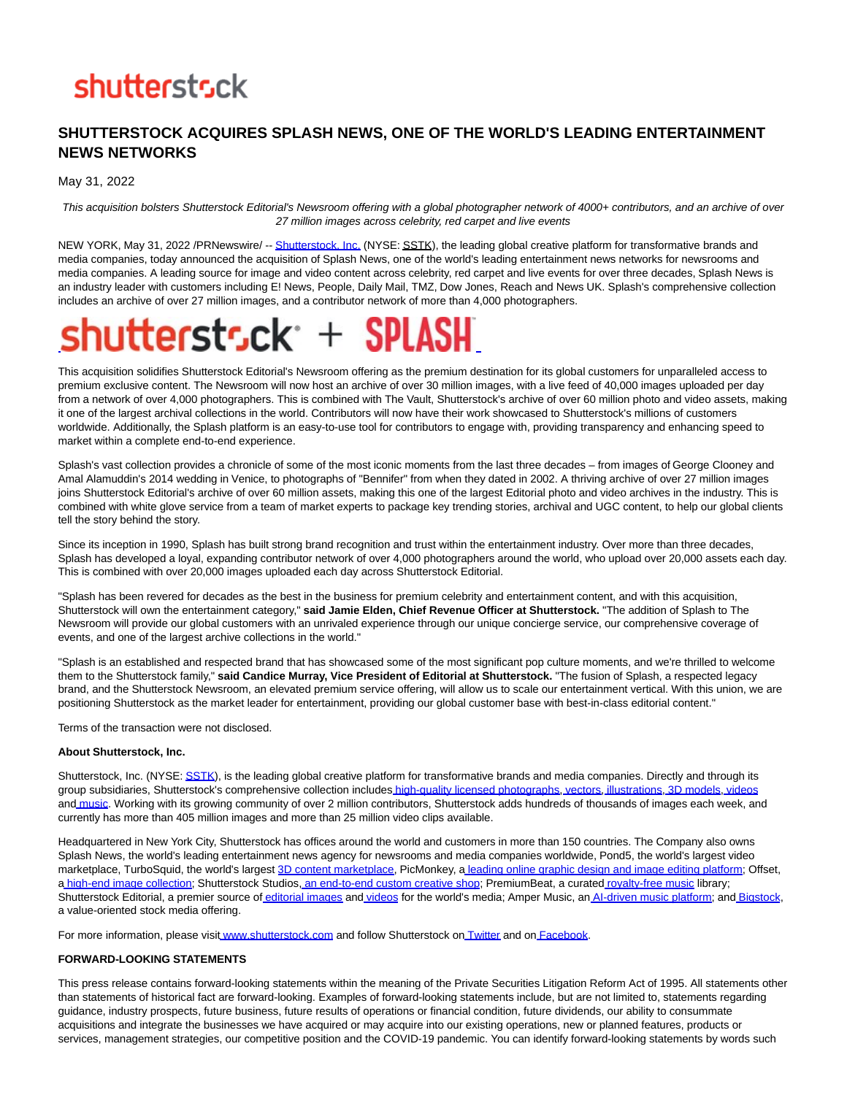### **shutterstsck**

#### **SHUTTERSTOCK ACQUIRES SPLASH NEWS, ONE OF THE WORLD'S LEADING ENTERTAINMENT NEWS NETWORKS**

May 31, 2022

This acquisition bolsters Shutterstock Editorial's Newsroom offering with a global photographer network of 4000+ contributors, and an archive of over 27 million images across celebrity, red carpet and live events

NEW YORK, May 31, 2022 /PRNewswire/ -[- Shutterstock, Inc. \(](https://c212.net/c/link/?t=0&l=en&o=3550961-1&h=950098259&u=https%3A%2F%2Fwww.shutterstock.com%2F&a=Shutterstock%2C+Inc.)NYSE: SSTK), the leading global creative platform for transformative brands and media companies, today announced the acquisition of Splash News, one of the world's leading entertainment news networks for newsrooms and media companies. A leading source for image and video content across celebrity, red carpet and live events for over three decades, Splash News is an industry leader with customers including E! News, People, Daily Mail, TMZ, Dow Jones, Reach and News UK. Splash's comprehensive collection includes an archive of over 27 million images, and a contributor network of more than 4,000 photographers.

## shuttersts.ck+ SPLASH

This acquisition solidifies Shutterstock Editorial's Newsroom offering as the premium destination for its global customers for unparalleled access to premium exclusive content. The Newsroom will now host an archive of over 30 million images, with a live feed of 40,000 images uploaded per day from a network of over 4,000 photographers. This is combined with The Vault, Shutterstock's archive of over 60 million photo and video assets, making it one of the largest archival collections in the world. Contributors will now have their work showcased to Shutterstock's millions of customers worldwide. Additionally, the Splash platform is an easy-to-use tool for contributors to engage with, providing transparency and enhancing speed to market within a complete end-to-end experience.

Splash's vast collection provides a chronicle of some of the most iconic moments from the last three decades – from images of George Clooney and Amal Alamuddin's 2014 wedding in Venice, to photographs of "Bennifer" from when they dated in 2002. A thriving archive of over 27 million images joins Shutterstock Editorial's archive of over 60 million assets, making this one of the largest Editorial photo and video archives in the industry. This is combined with white glove service from a team of market experts to package key trending stories, archival and UGC content, to help our global clients tell the story behind the story.

Since its inception in 1990. Splash has built strong brand recognition and trust within the entertainment industry. Over more than three decades, Splash has developed a loyal, expanding contributor network of over 4,000 photographers around the world, who upload over 20,000 assets each day. This is combined with over 20,000 images uploaded each day across Shutterstock Editorial.

"Splash has been revered for decades as the best in the business for premium celebrity and entertainment content, and with this acquisition, Shutterstock will own the entertainment category," **said Jamie Elden, Chief Revenue Officer at Shutterstock.** "The addition of Splash to The Newsroom will provide our global customers with an unrivaled experience through our unique concierge service, our comprehensive coverage of events, and one of the largest archive collections in the world."

"Splash is an established and respected brand that has showcased some of the most significant pop culture moments, and we're thrilled to welcome them to the Shutterstock family," **said Candice Murray, Vice President of Editorial at Shutterstock.** "The fusion of Splash, a respected legacy brand, and the Shutterstock Newsroom, an elevated premium service offering, will allow us to scale our entertainment vertical. With this union, we are positioning Shutterstock as the market leader for entertainment, providing our global customer base with best-in-class editorial content."

Terms of the transaction were not disclosed.

#### **About Shutterstock, Inc.**

Shutterstock, Inc. (NYSE[: SSTK\),](https://c212.net/c/link/?t=0&l=en&o=3550961-1&h=3729514466&u=https%3A%2F%2Fstudio-5.financialcontent.com%2Fprnews%3FPage%3DQuote%26Ticker%3DSSTK&a=SSTK) is the leading global creative platform for transformative brands and media companies. Directly and through its group subsidiaries, Shutterstock's comprehensive collection includes [high-quality licensed photographs,](https://c212.net/c/link/?t=0&l=en&o=3550961-1&h=2421353944&u=https%3A%2F%2Fwww.shutterstock.com%2F&a=high-quality+licensed+photographs) [vectors,](https://c212.net/c/link/?t=0&l=en&o=3550961-1&h=4218051105&u=https%3A%2F%2Fwww.shutterstock.com%2Fvectors&a=vectors) [i](https://c212.net/c/link/?t=0&l=en&o=3550961-1&h=3147511474&u=https%3A%2F%2Fwww.shutterstock.com%2Fcategory%2Fillustrations-clip-art&a=%C2%A0)[llustrations,](https://c212.net/c/link/?t=0&l=en&o=3550961-1&h=4244976402&u=https%3A%2F%2Fwww.shutterstock.com%2Fcategory%2Fillustrations-clip-art&a=illustrations) [3D models,](https://c212.net/c/link/?t=0&l=en&o=3550961-1&h=3671621266&u=https%3A%2F%2Fwww.turbosquid.com%2F&a=3D+models) [videos](https://c212.net/c/link/?t=0&l=en&o=3550961-1&h=727673259&u=https%3A%2F%2Fwww.shutterstock.com%2Fvideo%2F&a=videos) and [music.](https://c212.net/c/link/?t=0&l=en&o=3550961-1&h=2048460952&u=https%3A%2F%2Fwww.shutterstock.com%2Fmusic%2F&a=music) Working with its growing community of over 2 million contributors, Shutterstock adds hundreds of thousands of images each week, and currently has more than 405 million images and more than 25 million video clips available.

Headquartered in New York City, Shutterstock has offices around the world and customers in more than 150 countries. The Company also owns Splash News, the world's leading entertainment news agency for newsrooms and media companies worldwide, Pond5, the world's largest video marketplace, TurboSquid, the world's largest [3D content marketplace,](https://c212.net/c/link/?t=0&l=en&o=3550961-1&h=315635077&u=https%3A%2F%2Fwww.turbosquid.com%2F&a=3D+content+marketplace) PicMonkey, a [l](https://c212.net/c/link/?t=0&l=en&o=3550961-1&h=4213923762&u=https%3A%2F%2Fwww.picmonkey.com%2F&a=%C2%A0)[eading online graphic design and image editing platform;](https://c212.net/c/link/?t=0&l=en&o=3550961-1&h=1347333966&u=https%3A%2F%2Fwww.picmonkey.com%2F&a=leading+online+graphic+design+and+image+editing+platform) Offset, a [high-end image collection;](https://c212.net/c/link/?t=0&l=en&o=3550961-1&h=430362808&u=https%3A%2F%2Foffset.com%2F&a=high-end+image+collection) Shutterstock Studios, [an end-to-end custom creative shop;](https://c212.net/c/link/?t=0&l=en&o=3550961-1&h=3645426020&u=https%3A%2F%2Fwww.shutterstock.com%2Fstudios&a=an+end-to-end+custom+creative+shop) P[r](https://c212.net/c/link/?t=0&l=en&o=3550961-1&h=71813219&u=https%3A%2F%2Fwww.premiumbeat.com%2F&a=%C2%A0)emiumBeat, a curated r[oyalty-free music l](https://c212.net/c/link/?t=0&l=en&o=3550961-1&h=3091989220&u=https%3A%2F%2Fwww.premiumbeat.com%2F&a=royalty-free+music)ibrary; Shutterstock Editorial, a premier source of [editorial images a](https://c212.net/c/link/?t=0&l=en&o=3550961-1&h=1422890755&u=https%3A%2F%2Fwww.shutterstock.com%2Feditorial&a=editorial+images)nd [videos f](https://c212.net/c/link/?t=0&l=en&o=3550961-1&h=1582626603&u=https%3A%2F%2Fwww.shutterstock.com%2Feditorial%2Fcollections%2Feditorial-video&a=videos)or the world's media; Amper Music, an [AI-driven music platform;](https://c212.net/c/link/?t=0&l=en&o=3550961-1&h=3678012697&u=https%3A%2F%2Fwww.ampermusic.com%2F&a=AI-driven+music+platform) and [Bigstock,](https://c212.net/c/link/?t=0&l=en&o=3550961-1&h=4192188290&u=https%3A%2F%2Fwww.bigstockphoto.com%2F&a=Bigstock) a value-oriented stock media offering.

For more information, please visit [www.shutterstock.com a](https://c212.net/c/link/?t=0&l=en&o=3550961-1&h=1074403295&u=https%3A%2F%2Fwww.shutterstock.com%2F&a=www.shutterstock.com)nd follow Shutterstock on [Twitter a](https://c212.net/c/link/?t=0&l=en&o=3550961-1&h=3408957637&u=https%3A%2F%2Ftwitter.com%2Fshutterstock&a=Twitter)nd on [Facebook.](https://c212.net/c/link/?t=0&l=en&o=3550961-1&h=744189793&u=https%3A%2F%2Ffacebook.com%2Fshutterstock&a=Facebook)

#### **FORWARD-LOOKING STATEMENTS**

This press release contains forward-looking statements within the meaning of the Private Securities Litigation Reform Act of 1995. All statements other than statements of historical fact are forward-looking. Examples of forward-looking statements include, but are not limited to, statements regarding guidance, industry prospects, future business, future results of operations or financial condition, future dividends, our ability to consummate acquisitions and integrate the businesses we have acquired or may acquire into our existing operations, new or planned features, products or services, management strategies, our competitive position and the COVID-19 pandemic. You can identify forward-looking statements by words such